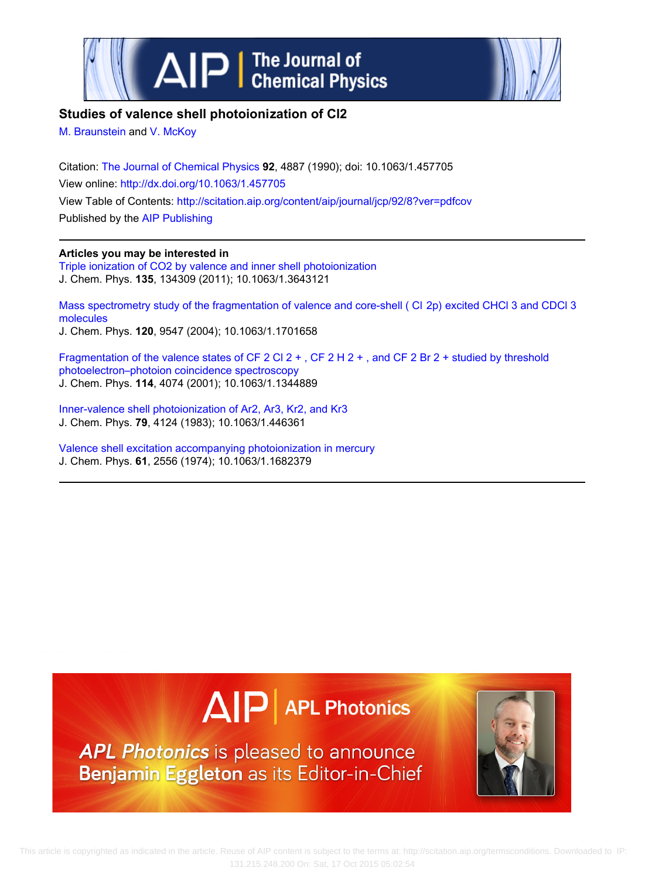



## **Studies of valence shell photoionization of Cl2**

[M. Braunstein](http://scitation.aip.org/search?value1=M.+Braunstein&option1=author) and [V. McKoy](http://scitation.aip.org/search?value1=V.+McKoy&option1=author)

Citation: [The Journal of Chemical Physics](http://scitation.aip.org/content/aip/journal/jcp?ver=pdfcov) **92**, 4887 (1990); doi: 10.1063/1.457705 View online: <http://dx.doi.org/10.1063/1.457705> View Table of Contents:<http://scitation.aip.org/content/aip/journal/jcp/92/8?ver=pdfcov> Published by the [AIP Publishing](http://scitation.aip.org/content/aip?ver=pdfcov)

## **Articles you may be interested in**

[Triple ionization of CO2 by valence and inner shell photoionization](http://scitation.aip.org/content/aip/journal/jcp/135/13/10.1063/1.3643121?ver=pdfcov) J. Chem. Phys. **135**, 134309 (2011); 10.1063/1.3643121

[Mass spectrometry study of the fragmentation of valence and core-shell \( Cl  2p\) excited CHCl 3 and CDCl 3](http://scitation.aip.org/content/aip/journal/jcp/120/20/10.1063/1.1701658?ver=pdfcov) [molecules](http://scitation.aip.org/content/aip/journal/jcp/120/20/10.1063/1.1701658?ver=pdfcov) J. Chem. Phys. **120**, 9547 (2004); 10.1063/1.1701658

[Fragmentation of the valence states of CF 2 Cl 2 + , CF 2 H 2 + , and CF 2 Br 2 + studied by threshold](http://scitation.aip.org/content/aip/journal/jcp/114/9/10.1063/1.1344889?ver=pdfcov) [photoelectron–photoion coincidence spectroscopy](http://scitation.aip.org/content/aip/journal/jcp/114/9/10.1063/1.1344889?ver=pdfcov) J. Chem. Phys. **114**, 4074 (2001); 10.1063/1.1344889

Inner-valence shell photoionization of Ar2, Ar3, Kr2, and Kr3 J. Chem. Phys. **79**, 4124 (1983); 10.1063/1.446361

[Valence shell excitation accompanying photoionization in mercury](http://scitation.aip.org/content/aip/journal/jcp/61/7/10.1063/1.1682379?ver=pdfcov) J. Chem. Phys. **61**, 2556 (1974); 10.1063/1.1682379



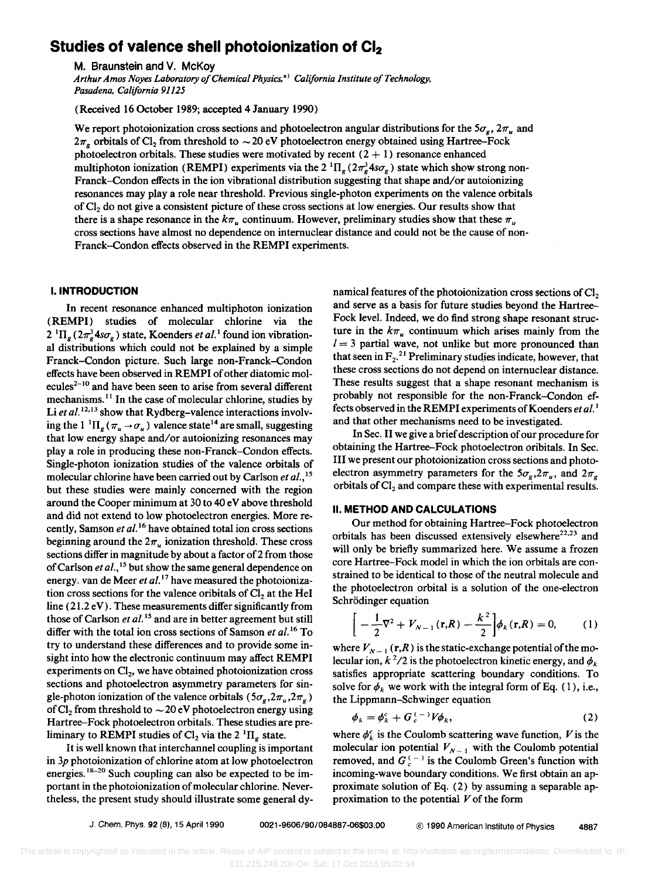# **Studies of valence shell photoionization of CI<sup>2</sup>**

M. Braunstein and V. McKoy

Arthur Amos Noyes Laboratory of Chemical Physics,<sup>a)</sup> California Institute of Technology, *Pasadena, California 91125* 

(Received 16 October 1989; accepted 4 January 1990)

We report photoionization cross sections and photoelectron angular distributions for the  $5\sigma_g$ ,  $2\pi_u$  and  $2\pi$ <sub>g</sub> orbitals of Cl<sub>2</sub> from threshold to  $\sim$  20 eV photoelectron energy obtained using Hartree–Fock photoelectron orbitals. These studies were motivated by recent  $(2 + 1)$  resonance enhanced multiphoton ionization (REMPI) experiments via the 2<sup>1</sup> $\Pi_g$  ( $2\pi_g^3$ 4s $\sigma_g$ ) state which show strong non-Franck-Condon effects in the ion vibrational distribution suggesting that shape and/or autoionizing resonances may playa role near threshold. Previous single-photon experiments on the valence orbitals of  $Cl<sub>2</sub>$  do not give a consistent picture of these cross sections at low energies. Our results show that there is a shape resonance in the  $k\pi_u$  continuum. However, preliminary studies show that these  $\pi_u$ cross sections have almost no dependence on internuclear distance and could not be the cause of non-Franck-Condon effects observed in the REMPI experiments.

### I. **INTRODUCTION**

In recent resonance enhanced multiphoton ionization (REMPI) studies of molecular chlorine via the  $2 \text{ }^{1}\Pi_{g} (2\pi_{g}^{3} 4s\sigma_{g})$  state, Koenders *et al.*<sup>1</sup> found ion vibrational distributions which could not be explained by a simple Franck-Condon picture. Such large non-Franck-Condon effects have been observed in REMPI of other diatomic molecules<sup>2-10</sup> and have been seen to arise from several different mechanisms.<sup>11</sup> In the case of molecular chlorine, studies by Li et al.<sup>12,13</sup> show that Rydberg-valence interactions involving the 1<sup>1</sup> $\Pi_g$  ( $\pi_u \rightarrow \sigma_u$ ) valence state<sup>14</sup> are small, suggesting that low energy shape and/or autoionizing resonances may playa role in producing these non-Franck-Condon effects. Single-photon ionization studies of the valence orbitals of molecular chlorine have been carried out by Carlson *et aI.,* <sup>15</sup> but these studies were mainly concerned with the region around the Cooper minimum at 30 to 40 eV above threshold and did not extend to low photoelectron energies. More recently, Samson *et al.* 16 have obtained total ion cross sections beginning around the  $2\pi$ <sup>*u*</sup> ionization threshold. These cross sections differ in magnitude by about a factor of 2 from those of Carlson *et al.,* 15 but show the same general dependence on energy. van de Meer et al.<sup>17</sup> have measured the photoionization cross sections for the valence oribitals of  $Cl<sub>2</sub>$  at the HeI line  $(21.2 \text{ eV})$ . These measurements differ significantly from those of Carlson *et al.* 15 and are in better agreement but still differ with the total ion cross sections of Samson *et al.* 16 To try to understand these differences and to provide some insight into how the electronic continuum may affect REMPI experiments on  $Cl<sub>2</sub>$ , we have obtained photoionization cross sections and photoelectron asymmetry parameters for single-photon ionization of the valence orbitals  $(5\sigma_g, 2\pi_u, 2\pi_g)$ of Cl<sub>2</sub> from threshold to  $\sim$  20 eV photoelectron energy using Hartree-Fock photoelectron orbitals. These studies are preliminary to REMPI studies of Cl<sub>2</sub> via the 2  $^1\Pi_a$  state.

It is well known that interchannel coupling is important in *3p* photoionization of chlorine atom at low photoelectron energies. 18-20 Such coupling can also be expected to be important in the photoionization of molecular chlorine. Nevertheless, the present study should illustrate some general dynamical features of the photoionization cross sections of  $Cl<sub>2</sub>$ and serve as a basis for future studies beyond the Hartree-Fock level. Indeed, we do find strong shape resonant structure in the  $k\pi_u$  continuum which arises mainly from the  $l = 3$  partial wave, not unlike but more pronounced than that seen in  $F_2$ <sup>21</sup> Preliminary studies indicate, however, that these cross sections do not depend on internuclear distance. These results suggest that a shape resonant mechanism is probably not responsible for the non-Franck-Condon effects observed in the REMPI experiments of Koenders et al.<sup>1</sup> and that other mechanisms need to be investigated.

In Sec. II we give a brief description of our procedure for obtaining the Hartree-Fock photoelectron oribitals. In Sec. III we present our photoionization cross sections and photoelectron asymmetry parameters for the  $5\sigma_{\varrho}$ ,  $2\pi_{\varrho}$ , and  $2\pi_{\varrho}$ orbitals of  $Cl<sub>2</sub>$  and compare these with experimental results.

#### II. **METHOD AND CALCULATIONS**

Our method for obtaining Hartree-Fock photoelectron orbitals has been discussed extensively elsewhere $^{22,23}$  and will only be briefly summarized here. We assume a frozen core Hartree-Fock model in which the ion orbitals are constrained to be identical to those of the neutral molecule and the photoelectron orbital is a solution of the one-electron Schrödinger equation

$$
\bigg[-\frac{1}{2}\nabla^2 + V_{N-1}(\mathbf{r},R) - \frac{k^2}{2}\bigg]\phi_k(\mathbf{r},R) = 0, \qquad (1)
$$

where  $V_{N-1}$  (r,R) is the static-exchange potential of the molecular ion,  $k^2/2$  is the photoelectron kinetic energy, and  $\phi_k$ satisfies appropriate scattering boundary conditions. To solve for  $\phi_k$  we work with the integral form of Eq. (1), i.e., the Lippmann-Schwinger equation

$$
\phi_k = \phi_k^c + G_c^{(-)} V \phi_k, \qquad (2)
$$

where  $\phi_k^c$  is the Coulomb scattering wave function, V is the molecular ion potential  $V_{N-1}$  with the Coulomb potential removed, and  $G_c^{(-)}$  is the Coulomb Green's function with incoming-wave boundary conditions. We first obtain an approximate solution of Eq. (2) by assuming a separable approximation to the potential  $V$  of the form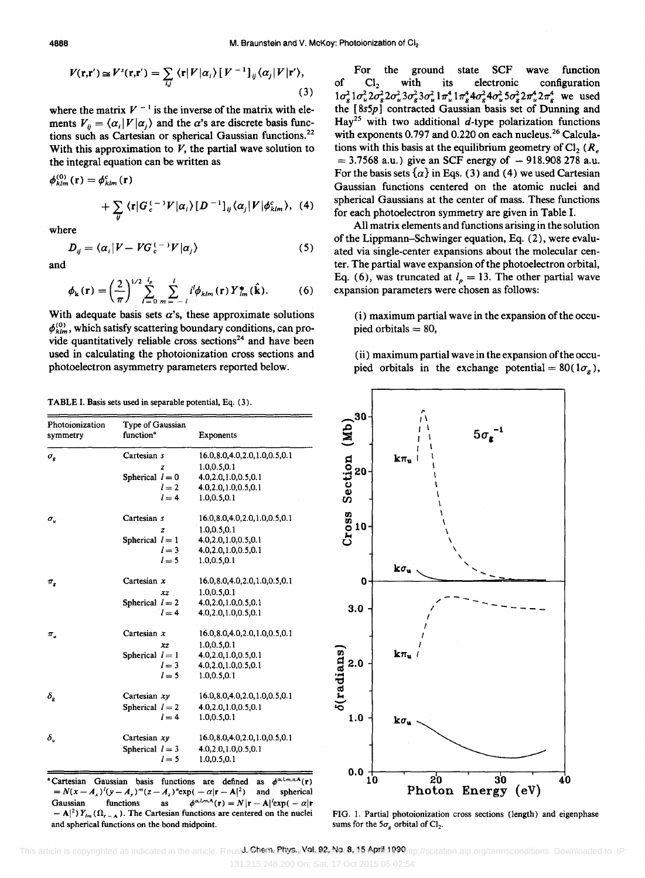where the matrix  $V^{-1}$  is the inverse of the matrix with elements  $V_{ij} = \langle \alpha_i | V | \alpha_j \rangle$  and the  $\alpha$ 's are discrete basis functions such as Cartesian or spherical Gaussian functions.<sup>22</sup> With this approximation to  $V$ , the partial wave solution to the integral equation can be written as

 $V(\mathbf{r}, \mathbf{r}') \simeq V^s(\mathbf{r}, \mathbf{r}') = \sum_{i,j} \langle \mathbf{r} | V | \alpha_i \rangle [V^{-1}]_{ij} \langle \alpha_j | V | \mathbf{r}' \rangle,$ 

(3)

$$
\phi_{klm}^{(0)}(\mathbf{r}) = \phi_{klm}^{c}(\mathbf{r})
$$
  
+ 
$$
\sum_{ij} \langle \mathbf{r} | G_c^{(-)} V | \alpha_i \rangle [D^{-1}]_{ij} \langle \alpha_j | V | \phi_{klm}^{c} \rangle, (4)
$$

where

$$
D_{ij} = \langle \alpha_i | V - VG_c^{(-)}V | \alpha_j \rangle \tag{5}
$$

and

$$
\phi_{k}(\mathbf{r}) = \left(\frac{2}{\pi}\right)^{1/2} \sum_{l=0}^{l_{p}} \sum_{m=-l}^{l} i^{l} \phi_{klm}(\mathbf{r}) Y_{lm}^{*}(\hat{\mathbf{k}}).
$$
 (6)

With adequate basis sets  $\alpha$ 's, these approximate solutions  $\phi_{klm}^{(0)}$ , which satisfy scattering boundary conditions, can provide quantitatively reliable cross sections<sup>24</sup> and have been used in calculating the photoionization cross sections and photoelectron asymmetry parameters reported below.

TABLE I. Basis sets used in separable potential, Eq. (3).

| Photoionization<br>symmetry | Type of Gaussian<br>function <sup>a</sup> |                   | <b>Exponents</b>                   |
|-----------------------------|-------------------------------------------|-------------------|------------------------------------|
| $\sigma_{\rm g}$            | Cartesian s                               |                   | 16.0,8.0,4.0,2.0,1.0,0.5,0.1       |
|                             |                                           | z                 | 1.0,0.5,0.1                        |
|                             | Spherical $l = 0$                         |                   | 4.0,2.0,1.0,0.5,0.1                |
|                             |                                           | $l=2$             | 4.0,2.0,1.0,0.5,0.1                |
|                             |                                           | $l=4$             | 1.0, 0.5, 0.1                      |
| $\sigma_u$                  | Cartesian s                               |                   | 16.0,8.0,4.0,2.0,1.0,0.5,0.1       |
|                             |                                           | z                 | 1.0, 0.5, 0.1                      |
|                             | Spherical $l = 1$                         |                   | 4.0,2.0,1.0,0.5,0.1                |
|                             |                                           | $l=3$             | 4.0,2.0,1.0,0.5,0.1                |
|                             |                                           | $l=5$             | 1.0, 0.5, 0.1                      |
| $\pi_{g}$                   | Cartesian $x$                             |                   | 16.0,8.0,4.0,2.0,1.0,0.5,0.1       |
|                             |                                           | xz                | 1.0, 0.5, 0.1                      |
|                             |                                           | Spherical $l = 2$ | 4.0,2.0,1.0,0.5,0.1                |
|                             |                                           | $l=4$             | 4.0,2.0,1.0,0.5,0.1                |
| $\pi_{u}$                   | Cartesian $x$                             |                   | 16.0, 8.0, 4.0, 2.0, 1.0, 0.5, 0.1 |
|                             |                                           | xz                | 1.0, 0.5, 0.1                      |
|                             |                                           | Spherical $l=1$   | 4.0.2.0.1.0.0.5.0.1                |
|                             |                                           | $l=3$             | 4.0,2.0,1.0,0.5,0.1                |
|                             |                                           | $l=5$             | 1.0, 0.5, 0.1                      |
| $\delta_{\rm g}$            | Cartesian $xy$                            |                   | 16.0,8.0,4.0,2.0,1.0,0.5,0.1       |
|                             | Spherical $l = 2$                         |                   | 4.0,2.0,1.0,0.5,0.1                |
|                             |                                           | $l = 4$           | 1.0, 0.5, 0.1                      |
| $\delta_u$                  | Cartesian $xy$                            |                   | 16.0,8.0,4.0,2.0,1.0,0.5,0.1       |
|                             | Spherical $l = 3$                         |                   | 4.0,2.0,1.0,0.5,0.1                |
|                             |                                           | $l=5$             | 1.0.0.5.0.1                        |

"Cartesian Gaussian basis functions are defined as  $\phi^{\alpha, l, m, n, A}(\mathbf{r})$  $=N(x - A_x)'(y - A_y)'''(z - A_z)'' \exp(-\alpha |\mathbf{r} - \mathbf{A}|^2)$  and spherical<br>Gaussian functions as  $\phi^{a, l, m, \mathbf{A}}(\mathbf{r}) = N |\mathbf{r} - \mathbf{A}|^2 \exp(-\alpha |\mathbf{r}|^2)$ as  $\phi^{\alpha,l,m,\mathbf{A}}(\mathbf{r}) = N |\mathbf{r} - \mathbf{A}|^{l} \exp(-\alpha |\mathbf{r}|)$  $(-\mathbf{A}|^2) Y_{lm}(\Omega_{r-A})$ . The Cartesian functions are centered on the nuclei and spherical functions on the bond midpoint.

For the ground state SCF wave function<br>Cl<sub>2</sub> with its electronic configuration of  $Cl_2$  with its electronic configuration  $1\sigma_g^2 1\sigma_u^2 2\sigma_g^2 2\sigma_u^2 3\sigma_g^2 3\sigma_u^2 1\pi_u^4 1\pi_g^4 4\sigma_g^2 4\sigma_u^2 5\sigma_g^2 2\pi_u^4 2\pi_g^4$  we used the [8s5p] contracted Gaussian basis set of Dunning and Hay<sup>25</sup> with two additional  $d$ -type polarization functions with exponents 0.797 and 0.220 on each nucleus.<sup>26</sup> Calculations with this basis at the equilibrium geometry of  $Cl_2$  ( $R_e$  $= 3.7568$  a.u.) give an SCF energy of  $-918.908$  278 a.u. For the basis sets  $\{\alpha\}$  in Eqs. (3) and (4) we used Cartesian Gaussian functions centered on the atomic nuclei and spherical Gaussians at the center of mass. These functions

for each photoelectron symmetry are given in Table I. All matrix elements and functions arising in the solution of the Lippmann-Schwinger equation, Eq. (2), were evaluated via single-center expansions about the molecular center. The partial wave expansion of the photoelectron orbital, Eq. (6), was truncated at  $l_p = 13$ . The other partial wave expansion parameters were chosen as follows:

(i) maximum partial wave in the expansion of the occupied orbitals  $= 80$ ,

(ii) maximum partial wave in the expansion of the occupied orbitals in the exchange potential =  $80(1\sigma_g)$ ,



FIG. I. Partial photoionization cross sections (length) and eigenphase sums for the  $5\sigma_g$  orbital of Cl<sub>2</sub>.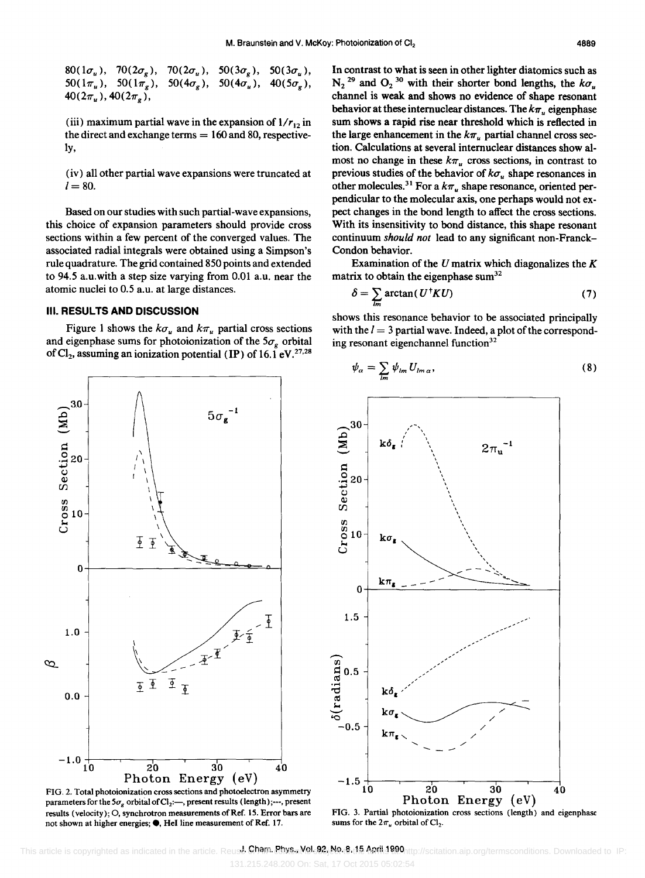$80(1\sigma_u)$ ,  $70(2\sigma_g)$ ,  $70(2\sigma_u)$ ,  $50(3\sigma_g)$ ,  $50(3\sigma_u)$ ,  $50(1\pi_u)$ ,  $50(1\pi_g)$ ,  $50(4\sigma_g)$ ,  $50(4\sigma_u)$ ,  $40(5\sigma_g)$ ,  $40(2\pi_u)$ ,  $40(2\pi_g)$ ,

(iii) maximum partial wave in the expansion of  $1/r_{12}$  in the direct and exchange terms  $= 160$  and 80, respectively,

(iv) all other partial wave expansions were truncated at  $l = 80.$ 

Based on our studies with such partial-wave expansions, this choice of expansion parameters should provide cross sections within a few percent of the converged values. The associated radial integrals were obtained using a Simpson's rule quadrature. The grid contained 850 points and extended to 94.5 a.u.with a step size varying from 0.01 a.u. near the atomic nuclei to 0.5 a.u. at large distances.

### **III. RESULTS AND DISCUSSION**

Figure 1 shows the  $k\sigma_u$  and  $k\pi_u$  partial cross sections and eigenphase sums for photoionization of the  $5\sigma_{\rm g}$  orbital of Cl<sub>2</sub>, assuming an ionization potential (IP) of 16.1 eV.<sup>27,28</sup> In contrast to what is seen in other lighter diatomics such as  $N_2$ <sup>29</sup> and  $O_2$ <sup>30</sup> with their shorter bond lengths, the  $k\sigma_u$ channel is weak and shows no evidence of shape resonant behavior at these internuclear distances. The  $k\pi$ , eigenphase sum shows a rapid rise near threshold which is reflected in the large enhancement in the  $k\pi_u$  partial channel cross section. Calculations at several internuclear distances show almost no change in these  $k\pi$ , cross sections, in contrast to previous studies of the behavior of  $k\sigma_u$  shape resonances in other molecules.<sup>31</sup> For a  $k\pi_u$  shape resonance, oriented perpendicular to the molecular axis, one perhaps would not expect changes in the bond length to affect the cross sections. With its insensitivity to bond distance, this shape resonant continuum *should not* lead to any significant non-Franck-Condon behavior.

Examination of the *U* matrix which diagonalizes the *K*  matrix to obtain the eigenphase sum $32$ 

$$
\delta = \sum_{lm} \arctan(U^{\dagger}KU) \tag{7}
$$

shows this resonance behavior to be associated principally with the  $l = 3$  partial wave. Indeed, a plot of the corresponding resonant eigenchannel function<sup>32</sup>

$$
\psi_{\alpha} = \sum_{lm} \psi_{lm} U_{lm\alpha}, \qquad (8)
$$





parameters for the  $5\sigma_{g}$  orbital of  $Cl_2$ :--, present results (length);---, present results (velocity); 0, synchrotron measurements of Ref. 15. Error bars are not shown at higher energies;  $\bullet$ , HeI line measurement of Ref. 17.

This article is copyrighted as indicated in the article. Reuse Cham. Phys. Vol.32, No. 8.15 April 1990 http://scitation.aip.org/termsconditions. Downloaded to IP: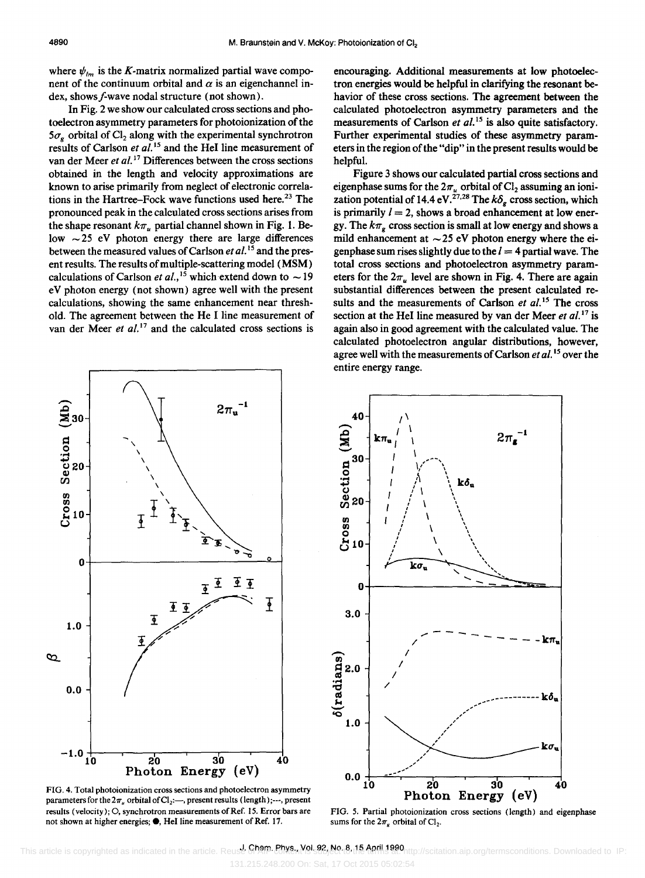where  $\psi_{lm}$  is the K-matrix normalized partial wave component of the continuum orbital and  $\alpha$  is an eigenchannel index, shows f-wave nodal structure (not shown).

In Fig. 2 we show our calculated cross sections and photoelectron asymmetry parameters for photoionization of the  $5\sigma$ , orbital of Cl<sub>2</sub> along with the experimental synchrotron results of Carlson *et al.*<sup>15</sup> and the HeI line measurement of van der Meer *et al.* 17 Differences between the cross sections obtained in the length and velocity approximations are known to arise primarily from neglect of electronic correlations in the Hartree-Fock wave functions used here.<sup>23</sup> The pronounced peak in the calculated cross sections arises from the shape resonant  $k\pi$ , partial channel shown in Fig. 1. Below  $\sim$  25 eV photon energy there are large differences between the measured values of Carlson *et al.* 15 and the present results. The results of multiple-scattering model (MSM) calculations of Carlson *et al.*,<sup>15</sup> which extend down to  $\sim$  19 eV photon energy (not shown) agree well with the present calculations, showing the same enhancement near threshold. The agreement between the He I line measurement of van der Meer et al.<sup>17</sup> and the calculated cross sections is

encouraging. Additional measurements at low photoelectron energies would be helpful in clarifying the resonant behavior of these cross sections. The agreement between the calculated photoelectron asymmetry parameters and the measurements of Carlson *et al.*<sup>15</sup> is also quite satisfactory. Further experimental studies of these asymmetry parameters in the region of the "dip" in the present results would be helpful.

Figure 3 shows our calculated partial cross sections and eigenphase sums for the  $2\pi_u$  orbital of  $Cl_2$  assuming an ionization potential of 14.4 eV.<sup>27,28</sup> The  $k\delta_g$  cross section, which is primarily  $l = 2$ , shows a broad enhancement at low energy. The  $k\pi$ <sub>s</sub> cross section is small at low energy and shows a mild enhancement at  $\sim$  25 eV photon energy where the eigenphase sum rises slightly due to the  $I = 4$  partial wave. The total cross sections and photoelectron asymmetry parameters for the  $2\pi$ , level are shown in Fig. 4. There are again substantial differences between the present calculated results and the measurements of Carlson *et al.*<sup>15</sup> The cross section at the HeI line measured by van der Meer *et al.*<sup>17</sup> is again also in good agreement with the calculated value. The calculated photoelectron angular distributions, however, agree well with the measurements of Carlson *et al. IS* over the entire energy range.



FIG. 4. Total photoionization cross sections and photoelectron asymmetry parameters for the  $2\pi$ <sup>*u*</sup> orbital of Cl<sub>2</sub>:-, present results (length) ;---, present results (velocity); 0, synchrotron measurements of Ref. 15. Error bars are not shown at higher energies;  $\bullet$ , HeI line measurement of Ref. 17.



FIG. 5. Partial photoionization cross sections (length) and eigenphase sums for the  $2\pi$ <sub>x</sub> orbital of Cl<sub>2</sub>.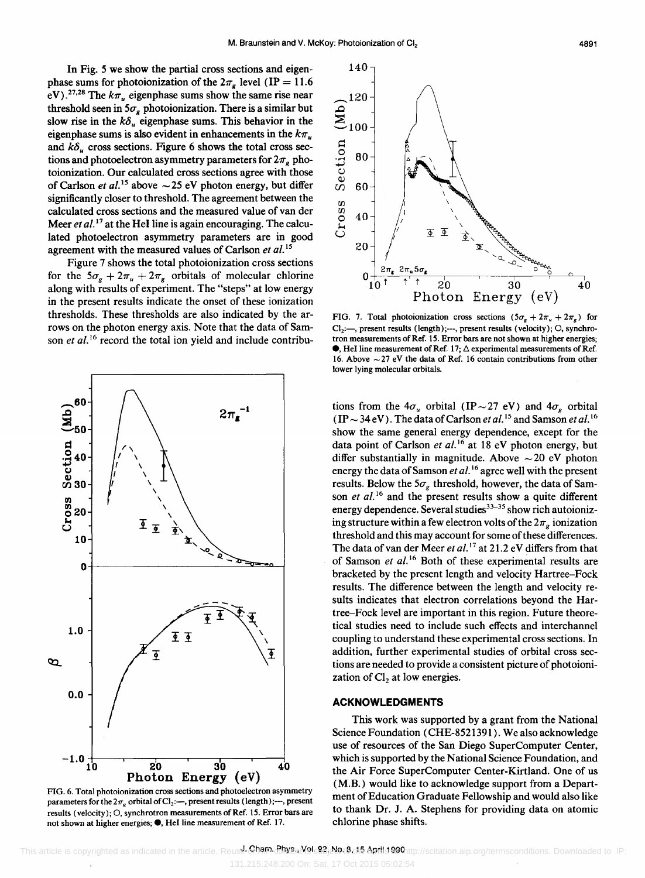In Fig. 5 we show the partial cross sections and eigenphase sums for photoionization of the  $2\pi<sub>g</sub>$  level (IP = 11.6)  $eV$ ).<sup>27,28</sup> The  $k\pi$ <sub>u</sub> eigenphase sums show the same rise near threshold seen in  $5\sigma<sub>e</sub>$  photoionization. There is a similar but slow rise in the  $k\delta_{\nu}$  eigenphase sums. This behavior in the eigenphase sums is also evident in enhancements in the  $k\pi_u$ and  $k\delta$ <sub>u</sub> cross sections. Figure 6 shows the total cross sections and photoelectron asymmetry parameters for  $2\pi$ <sub>g</sub> photoionization. Our calculated cross sections agree with those of Carlson *et al.*<sup>15</sup> above  $\sim$  25 eV photon energy, but differ significantly closer to threshold. The agreement between the calculated cross sections and the measured value of van der Meer *et al.*<sup>17</sup> at the HeI line is again encouraging. The calculated photoelectron asymmetry parameters are in good agreement with the measured values of Carlson *et al. 15* 

Figure 7 shows the total photoionization cross sections for the  $5\sigma_g + 2\pi_u + 2\pi_g$  orbitals of molecular chlorine along with results of experiment. The "steps" at low energy in the present results indicate the onset of these ionization thresholds. These thresholds are also indicated by the arrows on the photon energy axis. Note that the data of Samson *et al.*<sup>16</sup> record the total ion yield and include contribu-

> $2\pi_{\epsilon}^{-1}$  $\pi_{\boldsymbol{\ell}}$

> > \  $\overline{\mathbf{f}}$

FIG. 6. Total photoionization cross sections and photoelectron asymmetry parameters for the  $2\pi$ , orbital of Cl<sub>2</sub>:--, present results (length);---, present results (velocity); 0, synchrotron measurements of Ref. 15. Error bars are not shown at higher energies;  $\bullet$ , HeI line measurement of Ref. 17.

 $-1.0 + 10 \t 20 \t 30 \t 40$  $20$   $30$ <br>Photon Energy (eV)

O+---------------~~~~

 $\sum$ 

 $\frac{1.0}{1.0}$ 

 $\overline{1}$ 

 $\infty$ 

0.0

თ

Section (Mb)<br>3 a c 5

၉ <sup>zu –</sup><br>ပ 10

 $\overline{\mathbf{60}}$ 



FIG. 7. Total photoionization cross sections  $(5\sigma_g + 2\pi_u + 2\pi_g)$  for  $Cl_2$ :--, present results (length);---, present results (velocity); O, synchrotron measurements of Ref. 15. Error bars are not shown at higher energies;  $\bullet$ , HeI line measurement of Ref. 17;  $\triangle$  experimental measurements of Ref. 16. Above  $\sim$  27 eV the data of Ref. 16 contain contributions from other lower lying molecular orbitals.

tions from the  $4\sigma_u$  orbital (IP ~ 27 eV) and  $4\sigma_g$  orbital (IP  $\sim$  34 eV). The data of Carlson *et al.*<sup>15</sup> and Samson *et al.*<sup>16</sup> show the same general energy dependence, except for the data point of Carlson et al.<sup>16</sup> at 18 eV photon energy, but differ substantially in magnitude. Above  $\sim$  20 eV photon energy the data of Samson *et al.* 16 agree well with the present results. Below the  $5\sigma_{\rm e}$  threshold, however, the data of Samson *et al.*<sup>16</sup> and the present results show a quite different energy dependence. Several studies<sup>33–35</sup> show rich autoionizing structure within a few electron volts of the  $2\pi<sub>g</sub>$  ionization threshold and this may account for some of these differences. The data of van der Meer et al.<sup>17</sup> at 21.2 eV differs from that of Samson et al.<sup>16</sup> Both of these experimental results are bracketed by the present length and velocity Hartree-Fock results. The difference between the length and velocity results indicates that electron correlations beyond the Hartree-Fock level are important in this region. Future theoretical studies need to include such effects and interchannel coupling to understand these experimental cross sections. In addition, further experimental studies of orbital cross sections are needed to provide a consistent picture of photoionization of  $Cl<sub>2</sub>$  at low energies.

#### ACKNOWLEDGMENTS

This work was supported by a grant from the National Science Foundation (CHE-8521391 ). We also acknowledge use of resources of the San Diego SuperComputer Center, which is supported by the National Science Foundation, and the Air Force SuperComputer Center-Kirtland. One of us (M.B.) would like to acknowledge support from a Department of Education Graduate Fellowship and would also like to thank Dr. J. A. Stephens for providing data on atomic chlorine phase shifts.